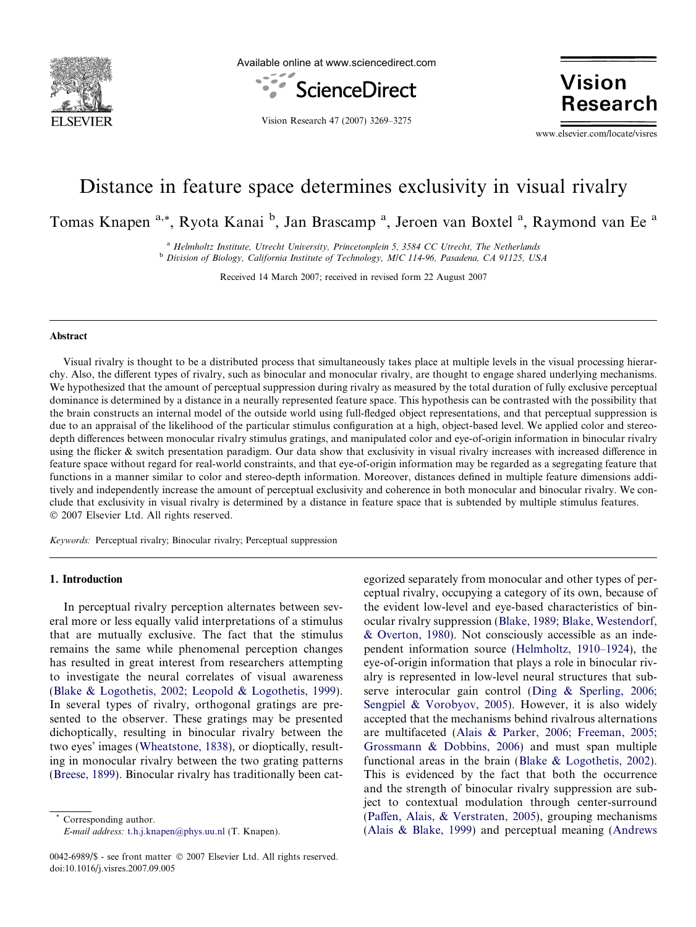

Available online at www.sciencedirect.com



Vision Research 47 (2007) 3269–3275

www.elsevier.com/locate/visres

**Research** 

**Vision** 

# Distance in feature space determines exclusivity in visual rivalry

Tomas Knapen <sup>a,\*</sup>, Ryota Kanai <sup>b</sup>, Jan Brascamp <sup>a</sup>, Jeroen van Boxtel <sup>a</sup>, Raymond van Ee <sup>a</sup>

<sup>a</sup> Helmholtz Institute, Utrecht University, Princetonplein 5, 3584 CC Utrecht, The Netherlands <sup>b</sup> Division of Biology, California Institute of Technology, MIC 114-96, Pasadena, CA 91125, USA

Received 14 March 2007; received in revised form 22 August 2007

### Abstract

Visual rivalry is thought to be a distributed process that simultaneously takes place at multiple levels in the visual processing hierarchy. Also, the different types of rivalry, such as binocular and monocular rivalry, are thought to engage shared underlying mechanisms. We hypothesized that the amount of perceptual suppression during rivalry as measured by the total duration of fully exclusive perceptual dominance is determined by a distance in a neurally represented feature space. This hypothesis can be contrasted with the possibility that the brain constructs an internal model of the outside world using full-fledged object representations, and that perceptual suppression is due to an appraisal of the likelihood of the particular stimulus configuration at a high, object-based level. We applied color and stereodepth differences between monocular rivalry stimulus gratings, and manipulated color and eye-of-origin information in binocular rivalry using the flicker & switch presentation paradigm. Our data show that exclusivity in visual rivalry increases with increased difference in feature space without regard for real-world constraints, and that eye-of-origin information may be regarded as a segregating feature that functions in a manner similar to color and stereo-depth information. Moreover, distances defined in multiple feature dimensions additively and independently increase the amount of perceptual exclusivity and coherence in both monocular and binocular rivalry. We conclude that exclusivity in visual rivalry is determined by a distance in feature space that is subtended by multiple stimulus features. © 2007 Elsevier Ltd. All rights reserved.

Keywords: Perceptual rivalry; Binocular rivalry; Perceptual suppression

## 1. Introduction

In perceptual rivalry perception alternates between several more or less equally valid interpretations of a stimulus that are mutually exclusive. The fact that the stimulus remains the same while phenomenal perception changes has resulted in great interest from researchers attempting to investigate the neural correlates of visual awareness ([Blake & Logothetis, 2002; Leopold & Logothetis, 1999\)](#page-5-0). In several types of rivalry, orthogonal gratings are presented to the observer. These gratings may be presented dichoptically, resulting in binocular rivalry between the two eyes' images [\(Wheatstone, 1838](#page-6-0)), or dioptically, resulting in monocular rivalry between the two grating patterns ([Breese, 1899\)](#page-5-0). Binocular rivalry has traditionally been cat-

Corresponding author.

E-mail address: [t.h.j.knapen@phys.uu.nl](mailto:t.h.j.knapen@phys.uu.nl) (T. Knapen).

egorized separately from monocular and other types of perceptual rivalry, occupying a category of its own, because of the evident low-level and eye-based characteristics of binocular rivalry suppression ([Blake, 1989; Blake, Westendorf,](#page-5-0) [& Overton, 1980](#page-5-0)). Not consciously accessible as an independent information source [\(Helmholtz, 1910–1924\)](#page-5-0), the eye-of-origin information that plays a role in binocular rivalry is represented in low-level neural structures that subserve interocular gain control [\(Ding & Sperling, 2006;](#page-5-0) [Sengpiel & Vorobyov, 2005\)](#page-5-0). However, it is also widely accepted that the mechanisms behind rivalrous alternations are multifaceted ([Alais & Parker, 2006; Freeman, 2005;](#page-5-0) [Grossmann & Dobbins, 2006\)](#page-5-0) and must span multiple functional areas in the brain [\(Blake & Logothetis, 2002\)](#page-5-0). This is evidenced by the fact that both the occurrence and the strength of binocular rivalry suppression are subject to contextual modulation through center-surround ([Paffen, Alais, & Verstraten, 2005\)](#page-5-0), grouping mechanisms ([Alais & Blake, 1999](#page-5-0)) and perceptual meaning ([Andrews](#page-5-0)

<sup>0042-6989/\$ -</sup> see front matter © 2007 Elsevier Ltd. All rights reserved. doi:10.1016/j.visres.2007.09.005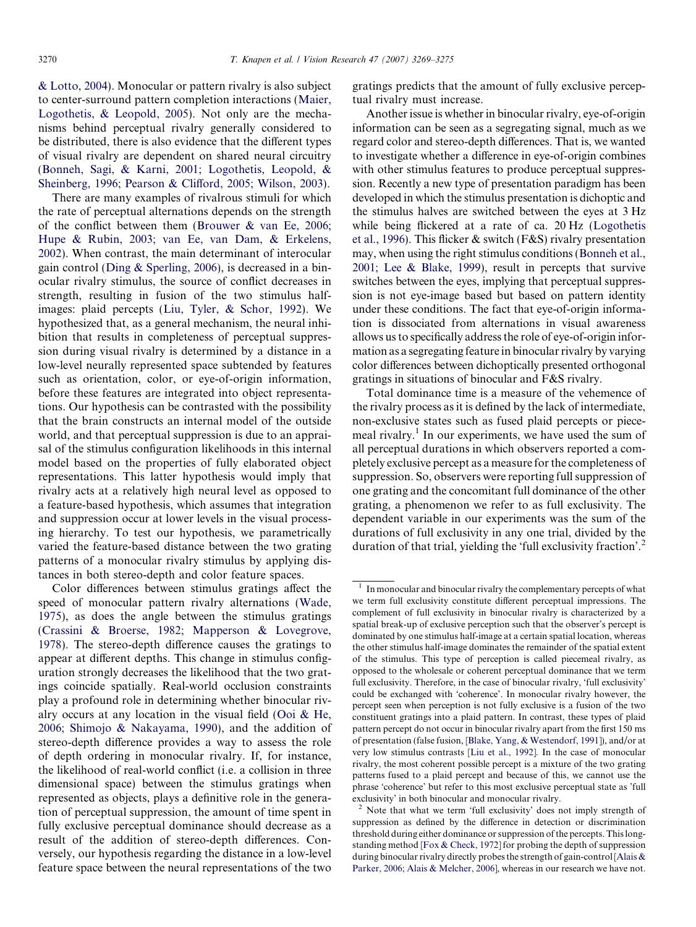[& Lotto, 2004](#page-5-0)). Monocular or pattern rivalry is also subject to center-surround pattern completion interactions [\(Maier,](#page-5-0) [Logothetis, & Leopold, 2005](#page-5-0)). Not only are the mechanisms behind perceptual rivalry generally considered to be distributed, there is also evidence that the different types of visual rivalry are dependent on shared neural circuitry [\(Bonneh, Sagi, & Karni, 2001; Logothetis, Leopold, &](#page-5-0) [Sheinberg, 1996; Pearson & Clifford, 2005; Wilson, 2003\)](#page-5-0).

There are many examples of rivalrous stimuli for which the rate of perceptual alternations depends on the strength of the conflict between them ([Brouwer & van Ee, 2006;](#page-5-0) [Hupe & Rubin, 2003; van Ee, van Dam, & Erkelens,](#page-5-0) [2002\)](#page-5-0). When contrast, the main determinant of interocular gain control ([Ding & Sperling, 2006\)](#page-5-0), is decreased in a binocular rivalry stimulus, the source of conflict decreases in strength, resulting in fusion of the two stimulus halfimages: plaid percepts ([Liu, Tyler, & Schor, 1992](#page-5-0)). We hypothesized that, as a general mechanism, the neural inhibition that results in completeness of perceptual suppression during visual rivalry is determined by a distance in a low-level neurally represented space subtended by features such as orientation, color, or eye-of-origin information, before these features are integrated into object representations. Our hypothesis can be contrasted with the possibility that the brain constructs an internal model of the outside world, and that perceptual suppression is due to an appraisal of the stimulus configuration likelihoods in this internal model based on the properties of fully elaborated object representations. This latter hypothesis would imply that rivalry acts at a relatively high neural level as opposed to a feature-based hypothesis, which assumes that integration and suppression occur at lower levels in the visual processing hierarchy. To test our hypothesis, we parametrically varied the feature-based distance between the two grating patterns of a monocular rivalry stimulus by applying distances in both stereo-depth and color feature spaces.

Color differences between stimulus gratings affect the speed of monocular pattern rivalry alternations [\(Wade,](#page-6-0) [1975\)](#page-6-0), as does the angle between the stimulus gratings [\(Crassini & Broerse, 1982; Mapperson & Lovegrove,](#page-5-0) [1978\)](#page-5-0). The stereo-depth difference causes the gratings to appear at different depths. This change in stimulus configuration strongly decreases the likelihood that the two gratings coincide spatially. Real-world occlusion constraints play a profound role in determining whether binocular rivalry occurs at any location in the visual field [\(Ooi & He,](#page-5-0) [2006; Shimojo & Nakayama, 1990](#page-5-0)), and the addition of stereo-depth difference provides a way to assess the role of depth ordering in monocular rivalry. If, for instance, the likelihood of real-world conflict (i.e. a collision in three dimensional space) between the stimulus gratings when represented as objects, plays a definitive role in the generation of perceptual suppression, the amount of time spent in fully exclusive perceptual dominance should decrease as a result of the addition of stereo-depth differences. Conversely, our hypothesis regarding the distance in a low-level feature space between the neural representations of the two gratings predicts that the amount of fully exclusive perceptual rivalry must increase.

Another issue is whether in binocular rivalry, eye-of-origin information can be seen as a segregating signal, much as we regard color and stereo-depth differences. That is, we wanted to investigate whether a difference in eye-of-origin combines with other stimulus features to produce perceptual suppression. Recently a new type of presentation paradigm has been developed in which the stimulus presentation is dichoptic and the stimulus halves are switched between the eyes at 3 Hz while being flickered at a rate of ca. 20 Hz ([Logothetis](#page-5-0) [et al., 1996](#page-5-0)). This flicker & switch (F&S) rivalry presentation may, when using the right stimulus conditions ([Bonneh et al.,](#page-5-0) [2001; Lee & Blake, 1999](#page-5-0)), result in percepts that survive switches between the eyes, implying that perceptual suppression is not eye-image based but based on pattern identity under these conditions. The fact that eye-of-origin information is dissociated from alternations in visual awareness allows us to specifically address the role of eye-of-origin information as a segregating feature in binocular rivalry by varying color differences between dichoptically presented orthogonal gratings in situations of binocular and F&S rivalry.

Total dominance time is a measure of the vehemence of the rivalry process as it is defined by the lack of intermediate, non-exclusive states such as fused plaid percepts or piecemeal rivalry.<sup>1</sup> In our experiments, we have used the sum of all perceptual durations in which observers reported a completely exclusive percept as a measure for the completeness of suppression. So, observers were reporting full suppression of one grating and the concomitant full dominance of the other grating, a phenomenon we refer to as full exclusivity. The dependent variable in our experiments was the sum of the durations of full exclusivity in any one trial, divided by the duration of that trial, yielding the 'full exclusivity fraction'.<sup>2</sup>

 $1$  In monocular and binocular rivalry the complementary percepts of what we term full exclusivity constitute different perceptual impressions. The complement of full exclusivity in binocular rivalry is characterized by a spatial break-up of exclusive perception such that the observer's percept is dominated by one stimulus half-image at a certain spatial location, whereas the other stimulus half-image dominates the remainder of the spatial extent of the stimulus. This type of perception is called piecemeal rivalry, as opposed to the wholesale or coherent perceptual dominance that we term full exclusivity. Therefore, in the case of binocular rivalry, 'full exclusivity' could be exchanged with 'coherence'. In monocular rivalry however, the percept seen when perception is not fully exclusive is a fusion of the two constituent gratings into a plaid pattern. In contrast, these types of plaid pattern percept do not occur in binocular rivalry apart from the first 150 ms of presentation (false fusion, [[Blake, Yang, & Westendorf, 1991\]](#page-5-0)), and/or at very low stimulus contrasts [[Liu et al., 1992\]](#page-5-0). In the case of monocular rivalry, the most coherent possible percept is a mixture of the two grating patterns fused to a plaid percept and because of this, we cannot use the phrase 'coherence' but refer to this most exclusive perceptual state as 'full exclusivity' in both binocular and monocular rivalry.

<sup>&</sup>lt;sup>2</sup> Note that what we term 'full exclusivity' does not imply strength of suppression as defined by the difference in detection or discrimination threshold during either dominance or suppression of the percepts. This longstanding method [\[Fox & Check, 1972\]](#page-5-0) for probing the depth of suppression during binocular rivalry directly probes the strength of gain-control [[Alais &](#page-5-0) [Parker, 2006; Alais & Melcher, 2006](#page-5-0)], whereas in our research we have not.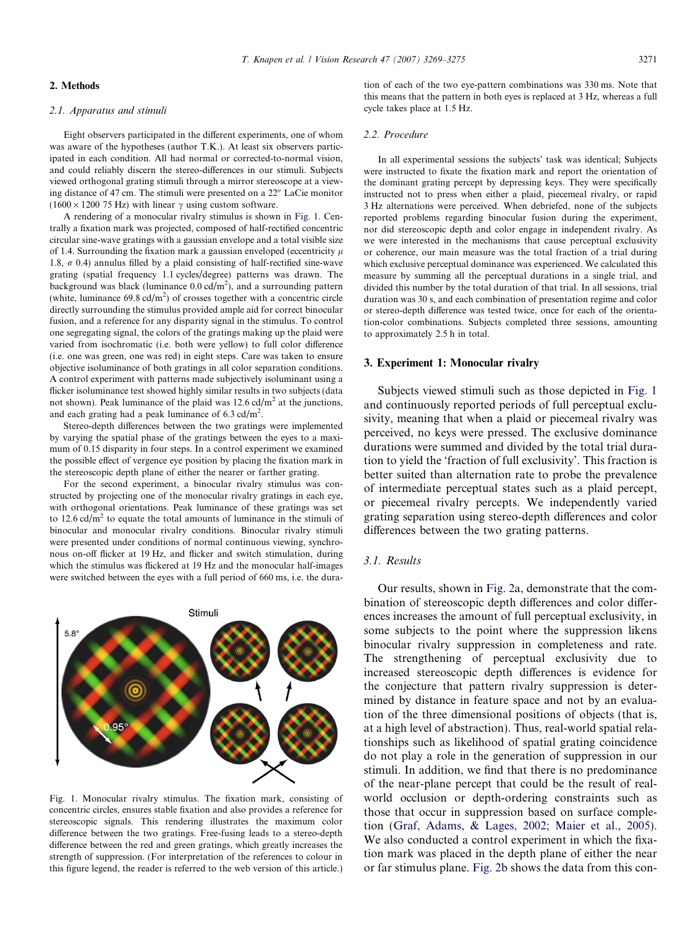#### 2. Methods

#### 2.1. Apparatus and stimuli

Eight observers participated in the different experiments, one of whom was aware of the hypotheses (author T.K.). At least six observers participated in each condition. All had normal or corrected-to-normal vision, and could reliably discern the stereo-differences in our stimuli. Subjects viewed orthogonal grating stimuli through a mirror stereoscope at a viewing distance of 47 cm. The stimuli were presented on a 22" LaCie monitor  $(1600 \times 120075 \text{ Hz})$  with linear  $\gamma$  using custom software.

A rendering of a monocular rivalry stimulus is shown in Fig. 1. Centrally a fixation mark was projected, composed of half-rectified concentric circular sine-wave gratings with a gaussian envelope and a total visible size of 1.4. Surrounding the fixation mark a gaussian enveloped (eccentricity  $\mu$ 1.8,  $\sigma$  0.4) annulus filled by a plaid consisting of half-rectified sine-wave grating (spatial frequency 1.1 cycles/degree) patterns was drawn. The background was black (luminance  $0.0 \text{ cd/m}^2$ ), and a surrounding pattern (white, luminance  $69.8 \text{ cd/m}^2$ ) of crosses together with a concentric circle directly surrounding the stimulus provided ample aid for correct binocular fusion, and a reference for any disparity signal in the stimulus. To control one segregating signal, the colors of the gratings making up the plaid were varied from isochromatic (i.e. both were yellow) to full color difference (i.e. one was green, one was red) in eight steps. Care was taken to ensure objective isoluminance of both gratings in all color separation conditions. A control experiment with patterns made subjectively isoluminant using a flicker isoluminance test showed highly similar results in two subjects (data not shown). Peak luminance of the plaid was  $12.6 \text{ cd/m}^2$  at the junctions, and each grating had a peak luminance of  $6.3 \text{ cd/m}^2$ .

Stereo-depth differences between the two gratings were implemented by varying the spatial phase of the gratings between the eyes to a maximum of 0.15 disparity in four steps. In a control experiment we examined the possible effect of vergence eye position by placing the fixation mark in the stereoscopic depth plane of either the nearer or farther grating.

For the second experiment, a binocular rivalry stimulus was constructed by projecting one of the monocular rivalry gratings in each eye, with orthogonal orientations. Peak luminance of these gratings was set to 12.6 cd/m<sup>2</sup> to equate the total amounts of luminance in the stimuli of binocular and monocular rivalry conditions. Binocular rivalry stimuli were presented under conditions of normal continuous viewing, synchronous on-off flicker at 19 Hz, and flicker and switch stimulation, during which the stimulus was flickered at 19 Hz and the monocular half-images were switched between the eyes with a full period of 660 ms, i.e. the dura-



Fig. 1. Monocular rivalry stimulus. The fixation mark, consisting of concentric circles, ensures stable fixation and also provides a reference for stereoscopic signals. This rendering illustrates the maximum color difference between the two gratings. Free-fusing leads to a stereo-depth difference between the red and green gratings, which greatly increases the strength of suppression. (For interpretation of the references to colour in this figure legend, the reader is referred to the web version of this article.)

tion of each of the two eye-pattern combinations was 330 ms. Note that this means that the pattern in both eyes is replaced at 3 Hz, whereas a full cycle takes place at 1.5 Hz.

#### 2.2. Procedure

In all experimental sessions the subjects' task was identical; Subjects were instructed to fixate the fixation mark and report the orientation of the dominant grating percept by depressing keys. They were specifically instructed not to press when either a plaid, piecemeal rivalry, or rapid 3 Hz alternations were perceived. When debriefed, none of the subjects reported problems regarding binocular fusion during the experiment, nor did stereoscopic depth and color engage in independent rivalry. As we were interested in the mechanisms that cause perceptual exclusivity or coherence, our main measure was the total fraction of a trial during which exclusive perceptual dominance was experienced. We calculated this measure by summing all the perceptual durations in a single trial, and divided this number by the total duration of that trial. In all sessions, trial duration was 30 s, and each combination of presentation regime and color or stereo-depth difference was tested twice, once for each of the orientation-color combinations. Subjects completed three sessions, amounting to approximately 2.5 h in total.

#### 3. Experiment 1: Monocular rivalry

Subjects viewed stimuli such as those depicted in Fig. 1 and continuously reported periods of full perceptual exclusivity, meaning that when a plaid or piecemeal rivalry was perceived, no keys were pressed. The exclusive dominance durations were summed and divided by the total trial duration to yield the 'fraction of full exclusivity'. This fraction is better suited than alternation rate to probe the prevalence of intermediate perceptual states such as a plaid percept, or piecemeal rivalry percepts. We independently varied grating separation using stereo-depth differences and color differences between the two grating patterns.

# 3.1. Results

Our results, shown in [Fig. 2a](#page-3-0), demonstrate that the combination of stereoscopic depth differences and color differences increases the amount of full perceptual exclusivity, in some subjects to the point where the suppression likens binocular rivalry suppression in completeness and rate. The strengthening of perceptual exclusivity due to increased stereoscopic depth differences is evidence for the conjecture that pattern rivalry suppression is determined by distance in feature space and not by an evaluation of the three dimensional positions of objects (that is, at a high level of abstraction). Thus, real-world spatial relationships such as likelihood of spatial grating coincidence do not play a role in the generation of suppression in our stimuli. In addition, we find that there is no predominance of the near-plane percept that could be the result of realworld occlusion or depth-ordering constraints such as those that occur in suppression based on surface completion ([Graf, Adams, & Lages, 2002; Maier et al., 2005\)](#page-5-0). We also conducted a control experiment in which the fixation mark was placed in the depth plane of either the near or far stimulus plane. [Fig. 2](#page-3-0)b shows the data from this con-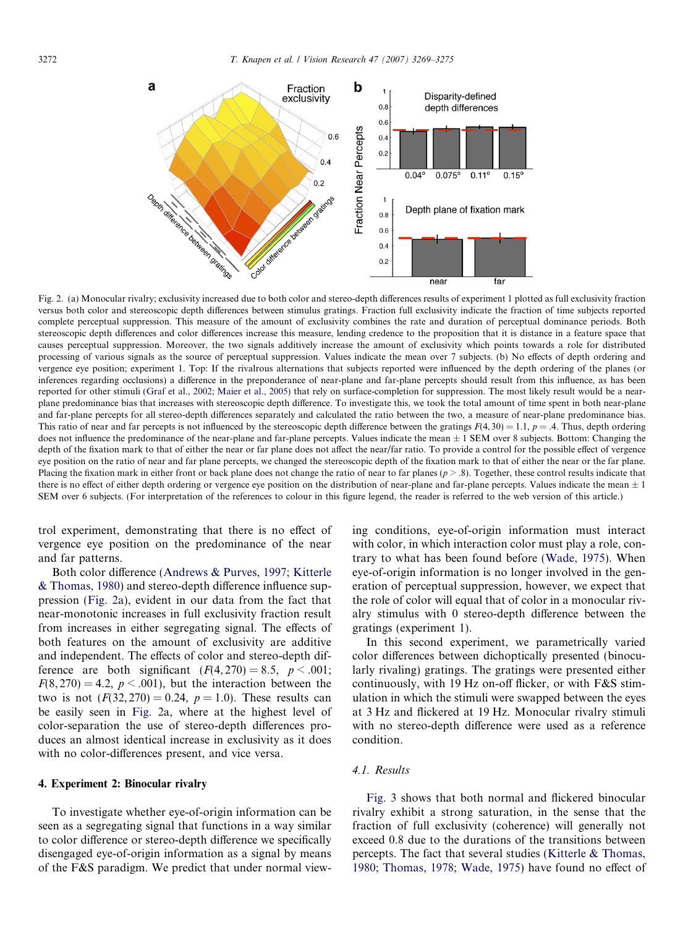<span id="page-3-0"></span>

Fig. 2. (a) Monocular rivalry; exclusivity increased due to both color and stereo-depth differences results of experiment 1 plotted as full exclusivity fraction versus both color and stereoscopic depth differences between stimulus gratings. Fraction full exclusivity indicate the fraction of time subjects reported complete perceptual suppression. This measure of the amount of exclusivity combines the rate and duration of perceptual dominance periods. Both stereoscopic depth differences and color differences increase this measure, lending credence to the proposition that it is distance in a feature space that causes perceptual suppression. Moreover, the two signals additively increase the amount of exclusivity which points towards a role for distributed processing of various signals as the source of perceptual suppression. Values indicate the mean over 7 subjects. (b) No effects of depth ordering and vergence eye position; experiment 1. Top: If the rivalrous alternations that subjects reported were influenced by the depth ordering of the planes (or inferences regarding occlusions) a difference in the preponderance of near-plane and far-plane percepts should result from this influence, as has been reported for other stimuli [\(Graf et al., 2002; Maier et al., 2005](#page-5-0)) that rely on surface-completion for suppression. The most likely result would be a nearplane predominance bias that increases with stereoscopic depth difference. To investigate this, we took the total amount of time spent in both near-plane and far-plane percepts for all stereo-depth differences separately and calculated the ratio between the two, a measure of near-plane predominance bias. This ratio of near and far percepts is not influenced by the stereoscopic depth difference between the gratings  $F(4, 30) = 1.1$ ,  $p = .4$ . Thus, depth ordering does not influence the predominance of the near-plane and far-plane percepts. Values indicate the mean  $\pm 1$  SEM over 8 subjects. Bottom: Changing the depth of the fixation mark to that of either the near or far plane does not affect the near/far ratio. To provide a control for the possible effect of vergence eye position on the ratio of near and far plane percepts, we changed the stereoscopic depth of the fixation mark to that of either the near or the far plane. Placing the fixation mark in either front or back plane does not change the ratio of near to far planes ( $p > .8$ ). Together, these control results indicate that there is no effect of either depth ordering or vergence eye position on the distribution of near-plane and far-plane percepts. Values indicate the mean  $\pm 1$ SEM over 6 subjects. (For interpretation of the references to colour in this figure legend, the reader is referred to the web version of this article.)

trol experiment, demonstrating that there is no effect of vergence eye position on the predominance of the near and far patterns.

Both color difference ([Andrews & Purves, 1997; Kitterle](#page-5-0) [& Thomas, 1980\)](#page-5-0) and stereo-depth difference influence suppression (Fig. 2a), evident in our data from the fact that near-monotonic increases in full exclusivity fraction result from increases in either segregating signal. The effects of both features on the amount of exclusivity are additive and independent. The effects of color and stereo-depth difference are both significant  $(F(4, 270) = 8.5, p < .001;$  $F(8, 270) = 4.2$ ,  $p < .001$ , but the interaction between the two is not  $(F(32, 270) = 0.24, p = 1.0)$ . These results can be easily seen in Fig. 2a, where at the highest level of color-separation the use of stereo-depth differences produces an almost identical increase in exclusivity as it does with no color-differences present, and vice versa.

## 4. Experiment 2: Binocular rivalry

To investigate whether eye-of-origin information can be seen as a segregating signal that functions in a way similar to color difference or stereo-depth difference we specifically disengaged eye-of-origin information as a signal by means of the F&S paradigm. We predict that under normal viewing conditions, eye-of-origin information must interact with color, in which interaction color must play a role, contrary to what has been found before ([Wade, 1975\)](#page-6-0). When eye-of-origin information is no longer involved in the generation of perceptual suppression, however, we expect that the role of color will equal that of color in a monocular rivalry stimulus with 0 stereo-depth difference between the gratings (experiment 1).

In this second experiment, we parametrically varied color differences between dichoptically presented (binocularly rivaling) gratings. The gratings were presented either continuously, with 19 Hz on-off flicker, or with F&S stimulation in which the stimuli were swapped between the eyes at 3 Hz and flickered at 19 Hz. Monocular rivalry stimuli with no stereo-depth difference were used as a reference condition.

# 4.1. Results

[Fig. 3](#page-4-0) shows that both normal and flickered binocular rivalry exhibit a strong saturation, in the sense that the fraction of full exclusivity (coherence) will generally not exceed 0.8 due to the durations of the transitions between percepts. The fact that several studies ([Kitterle & Thomas,](#page-5-0) [1980; Thomas, 1978; Wade, 1975](#page-5-0)) have found no effect of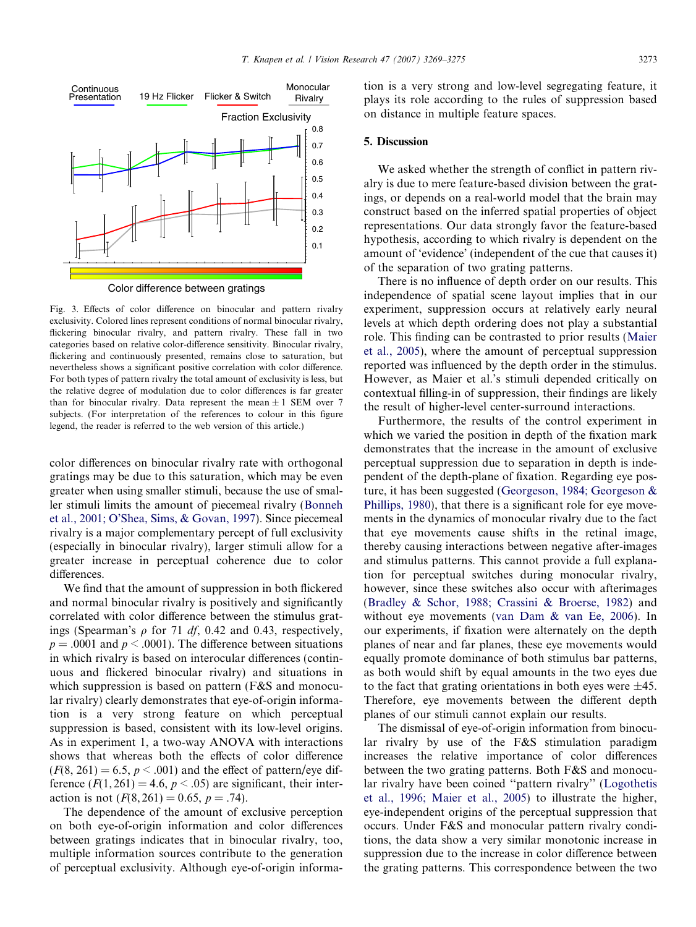<span id="page-4-0"></span>

Color difference between gratings

Fig. 3. Effects of color difference on binocular and pattern rivalry exclusivity. Colored lines represent conditions of normal binocular rivalry, flickering binocular rivalry, and pattern rivalry. These fall in two categories based on relative color-difference sensitivity. Binocular rivalry, flickering and continuously presented, remains close to saturation, but nevertheless shows a significant positive correlation with color difference. For both types of pattern rivalry the total amount of exclusivity is less, but the relative degree of modulation due to color differences is far greater than for binocular rivalry. Data represent the mean  $\pm 1$  SEM over 7 subjects. (For interpretation of the references to colour in this figure legend, the reader is referred to the web version of this article.)

color differences on binocular rivalry rate with orthogonal gratings may be due to this saturation, which may be even greater when using smaller stimuli, because the use of smaller stimuli limits the amount of piecemeal rivalry ([Bonneh](#page-5-0) [et al., 2001; O'Shea, Sims, & Govan, 1997\)](#page-5-0). Since piecemeal rivalry is a major complementary percept of full exclusivity (especially in binocular rivalry), larger stimuli allow for a greater increase in perceptual coherence due to color differences.

We find that the amount of suppression in both flickered and normal binocular rivalry is positively and significantly correlated with color difference between the stimulus gratings (Spearman's  $\rho$  for 71 df, 0.42 and 0.43, respectively,  $p = .0001$  and  $p < .0001$ ). The difference between situations in which rivalry is based on interocular differences (continuous and flickered binocular rivalry) and situations in which suppression is based on pattern (F&S and monocular rivalry) clearly demonstrates that eye-of-origin information is a very strong feature on which perceptual suppression is based, consistent with its low-level origins. As in experiment 1, a two-way ANOVA with interactions shows that whereas both the effects of color difference  $(F(8, 261) = 6.5, p < .001)$  and the effect of pattern/eye difference  $(F(1, 261) = 4.6, p < .05)$  are significant, their interaction is not  $(F(8, 261) = 0.65, p = .74)$ .

The dependence of the amount of exclusive perception on both eye-of-origin information and color differences between gratings indicates that in binocular rivalry, too, multiple information sources contribute to the generation of perceptual exclusivity. Although eye-of-origin information is a very strong and low-level segregating feature, it plays its role according to the rules of suppression based on distance in multiple feature spaces.

#### 5. Discussion

We asked whether the strength of conflict in pattern rivalry is due to mere feature-based division between the gratings, or depends on a real-world model that the brain may construct based on the inferred spatial properties of object representations. Our data strongly favor the feature-based hypothesis, according to which rivalry is dependent on the amount of 'evidence' (independent of the cue that causes it) of the separation of two grating patterns.

There is no influence of depth order on our results. This independence of spatial scene layout implies that in our experiment, suppression occurs at relatively early neural levels at which depth ordering does not play a substantial role. This finding can be contrasted to prior results ([Maier](#page-5-0) [et al., 2005\)](#page-5-0), where the amount of perceptual suppression reported was influenced by the depth order in the stimulus. However, as Maier et al.'s stimuli depended critically on contextual filling-in of suppression, their findings are likely the result of higher-level center-surround interactions.

Furthermore, the results of the control experiment in which we varied the position in depth of the fixation mark demonstrates that the increase in the amount of exclusive perceptual suppression due to separation in depth is independent of the depth-plane of fixation. Regarding eye posture, it has been suggested [\(Georgeson, 1984; Georgeson &](#page-5-0) [Phillips, 1980\)](#page-5-0), that there is a significant role for eye movements in the dynamics of monocular rivalry due to the fact that eye movements cause shifts in the retinal image, thereby causing interactions between negative after-images and stimulus patterns. This cannot provide a full explanation for perceptual switches during monocular rivalry, however, since these switches also occur with afterimages ([Bradley & Schor, 1988; Crassini & Broerse, 1982](#page-5-0)) and without eye movements [\(van Dam & van Ee, 2006](#page-6-0)). In our experiments, if fixation were alternately on the depth planes of near and far planes, these eye movements would equally promote dominance of both stimulus bar patterns, as both would shift by equal amounts in the two eyes due to the fact that grating orientations in both eyes were  $\pm 45$ . Therefore, eye movements between the different depth planes of our stimuli cannot explain our results.

The dismissal of eye-of-origin information from binocular rivalry by use of the F&S stimulation paradigm increases the relative importance of color differences between the two grating patterns. Both F&S and monocular rivalry have been coined ''pattern rivalry'' ([Logothetis](#page-5-0) [et al., 1996; Maier et al., 2005\)](#page-5-0) to illustrate the higher, eye-independent origins of the perceptual suppression that occurs. Under F&S and monocular pattern rivalry conditions, the data show a very similar monotonic increase in suppression due to the increase in color difference between the grating patterns. This correspondence between the two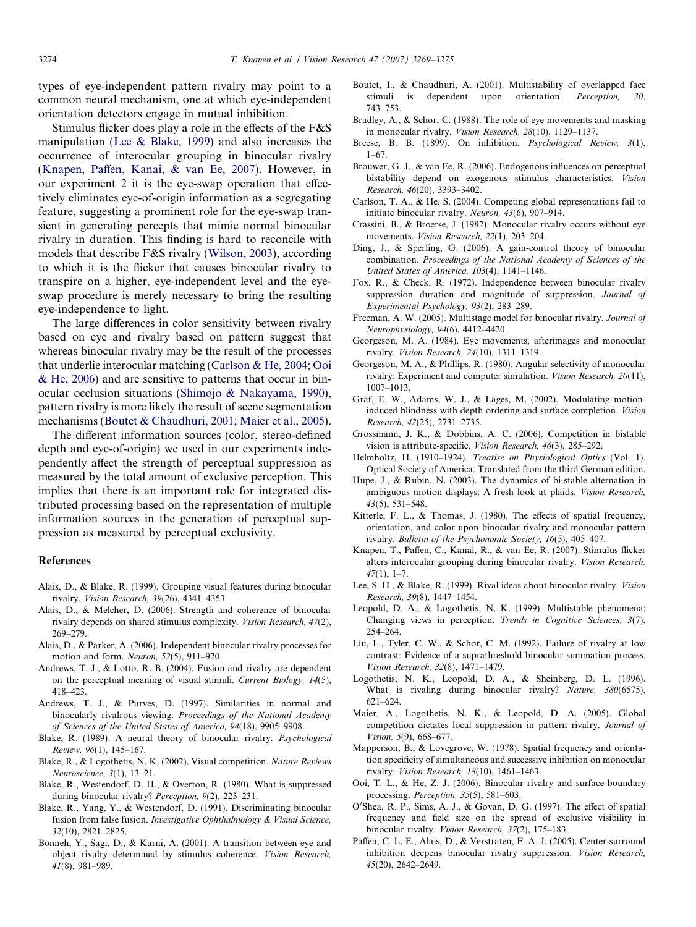<span id="page-5-0"></span>types of eye-independent pattern rivalry may point to a common neural mechanism, one at which eye-independent orientation detectors engage in mutual inhibition.

Stimulus flicker does play a role in the effects of the F&S manipulation (Lee & Blake, 1999) and also increases the occurrence of interocular grouping in binocular rivalry (Knapen, Paffen, Kanai, & van Ee, 2007). However, in our experiment 2 it is the eye-swap operation that effectively eliminates eye-of-origin information as a segregating feature, suggesting a prominent role for the eye-swap transient in generating percepts that mimic normal binocular rivalry in duration. This finding is hard to reconcile with models that describe F&S rivalry [\(Wilson, 2003](#page-6-0)), according to which it is the flicker that causes binocular rivalry to transpire on a higher, eye-independent level and the eyeswap procedure is merely necessary to bring the resulting eye-independence to light.

The large differences in color sensitivity between rivalry based on eye and rivalry based on pattern suggest that whereas binocular rivalry may be the result of the processes that underlie interocular matching (Carlson & He, 2004; Ooi & He, 2006) and are sensitive to patterns that occur in binocular occlusion situations [\(Shimojo & Nakayama, 1990\)](#page-6-0), pattern rivalry is more likely the result of scene segmentation mechanisms (Boutet & Chaudhuri, 2001; Maier et al., 2005).

The different information sources (color, stereo-defined depth and eye-of-origin) we used in our experiments independently affect the strength of perceptual suppression as measured by the total amount of exclusive perception. This implies that there is an important role for integrated distributed processing based on the representation of multiple information sources in the generation of perceptual suppression as measured by perceptual exclusivity.

## References

- Alais, D., & Blake, R. (1999). Grouping visual features during binocular rivalry. Vision Research, 39(26), 4341–4353.
- Alais, D., & Melcher, D. (2006). Strength and coherence of binocular rivalry depends on shared stimulus complexity. Vision Research, 47(2), 269–279.
- Alais, D., & Parker, A. (2006). Independent binocular rivalry processes for motion and form. Neuron, 52(5), 911–920.
- Andrews, T. J., & Lotto, R. B. (2004). Fusion and rivalry are dependent on the perceptual meaning of visual stimuli. Current Biology, 14(5), 418–423.
- Andrews, T. J., & Purves, D. (1997). Similarities in normal and binocularly rivalrous viewing. Proceedings of the National Academy of Sciences of the United States of America, 94(18), 9905–9908.
- Blake, R. (1989). A neural theory of binocular rivalry. Psychological Review, 96(1), 145–167.
- Blake, R., & Logothetis, N. K. (2002). Visual competition. Nature Reviews Neuroscience, 3(1), 13–21.
- Blake, R., Westendorf, D. H., & Overton, R. (1980). What is suppressed during binocular rivalry? Perception, 9(2), 223–231.
- Blake, R., Yang, Y., & Westendorf, D. (1991). Discriminating binocular fusion from false fusion. Investigative Ophthalmology & Visual Science, 32(10), 2821–2825.
- Bonneh, Y., Sagi, D., & Karni, A. (2001). A transition between eye and object rivalry determined by stimulus coherence. Vision Research, 41(8), 981–989.
- Boutet, I., & Chaudhuri, A. (2001). Multistability of overlapped face stimuli is dependent upon orientation. Perception, 30, 743–753.
- Bradley, A., & Schor, C. (1988). The role of eye movements and masking in monocular rivalry. Vision Research, 28(10), 1129–1137.
- Breese, B. B. (1899). On inhibition. Psychological Review, 3(1), 1–67.
- Brouwer, G. J., & van Ee, R. (2006). Endogenous influences on perceptual bistability depend on exogenous stimulus characteristics. Vision Research, 46(20), 3393–3402.
- Carlson, T. A., & He, S. (2004). Competing global representations fail to initiate binocular rivalry. Neuron, 43(6), 907–914.
- Crassini, B., & Broerse, J. (1982). Monocular rivalry occurs without eye movements. Vision Research, 22(1), 203–204.
- Ding, J., & Sperling, G. (2006). A gain-control theory of binocular combination. Proceedings of the National Academy of Sciences of the United States of America, 103(4), 1141–1146.
- Fox, R., & Check, R. (1972). Independence between binocular rivalry suppression duration and magnitude of suppression. Journal of Experimental Psychology, 93(2), 283–289.
- Freeman, A. W. (2005). Multistage model for binocular rivalry. Journal of Neurophysiology, 94(6), 4412–4420.
- Georgeson, M. A. (1984). Eye movements, afterimages and monocular rivalry. Vision Research, 24(10), 1311–1319.
- Georgeson, M. A., & Phillips, R. (1980). Angular selectivity of monocular rivalry: Experiment and computer simulation. Vision Research, 20(11), 1007–1013.
- Graf, E. W., Adams, W. J., & Lages, M. (2002). Modulating motioninduced blindness with depth ordering and surface completion. Vision Research, 42(25), 2731–2735.
- Grossmann, J. K., & Dobbins, A. C. (2006). Competition in bistable vision is attribute-specific. Vision Research, 46(3), 285–292.
- Helmholtz, H. (1910–1924). Treatise on Physiological Optics (Vol. 1). Optical Society of America. Translated from the third German edition.
- Hupe, J., & Rubin, N. (2003). The dynamics of bi-stable alternation in ambiguous motion displays: A fresh look at plaids. Vision Research, 43(5), 531–548.
- Kitterle, F. L., & Thomas, J. (1980). The effects of spatial frequency, orientation, and color upon binocular rivalry and monocular pattern rivalry. Bulletin of the Psychonomic Society, 16(5), 405–407.
- Knapen, T., Paffen, C., Kanai, R., & van Ee, R. (2007). Stimulus flicker alters interocular grouping during binocular rivalry. Vision Research,  $47(1), 1-7.$
- Lee, S. H., & Blake, R. (1999). Rival ideas about binocular rivalry. Vision Research, 39(8), 1447–1454.
- Leopold, D. A., & Logothetis, N. K. (1999). Multistable phenomena: Changing views in perception. Trends in Cognitive Sciences, 3(7), 254–264.
- Liu, L., Tyler, C. W., & Schor, C. M. (1992). Failure of rivalry at low contrast: Evidence of a suprathreshold binocular summation process. Vision Research, 32(8), 1471–1479.
- Logothetis, N. K., Leopold, D. A., & Sheinberg, D. L. (1996). What is rivaling during binocular rivalry? Nature, 380(6575), 621–624.
- Maier, A., Logothetis, N. K., & Leopold, D. A. (2005). Global competition dictates local suppression in pattern rivalry. Journal of Vision, 5(9), 668–677.
- Mapperson, B., & Lovegrove, W. (1978). Spatial frequency and orientation specificity of simultaneous and successive inhibition on monocular rivalry. Vision Research, 18(10), 1461–1463.
- Ooi, T. L., & He, Z. J. (2006). Binocular rivalry and surface-boundary processing. Perception, 35(5), 581–603.
- O'Shea, R. P., Sims, A. J., & Govan, D. G. (1997). The effect of spatial frequency and field size on the spread of exclusive visibility in binocular rivalry. Vision Research, 37(2), 175–183.
- Paffen, C. L. E., Alais, D., & Verstraten, F. A. J. (2005). Center-surround inhibition deepens binocular rivalry suppression. Vision Research, 45(20), 2642–2649.